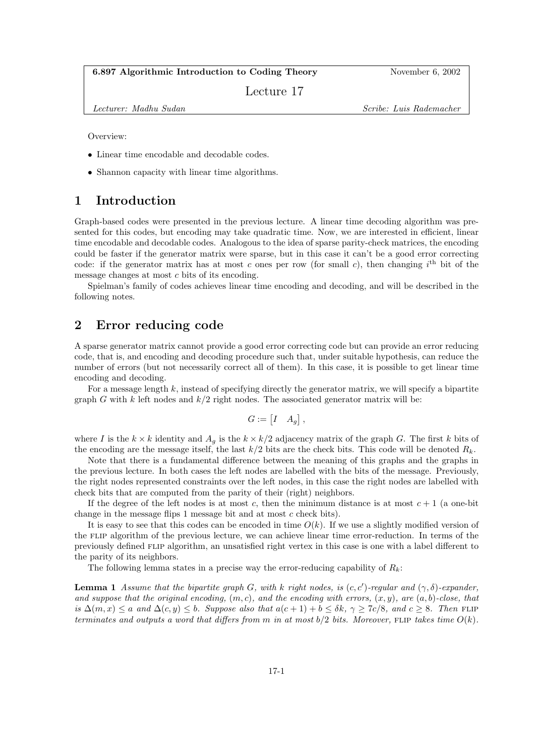#### 6.897 Algorithmic Introduction to Coding Theory November 6, 2002

Lecture 17

Lecturer: Madhu Sudan Scribe: Luis Rademacher

Overview:

- Linear time encodable and decodable codes.
- Shannon capacity with linear time algorithms.

#### 1 Introduction

Graph-based codes were presented in the previous lecture. A linear time decoding algorithm was presented for this codes, but encoding may take quadratic time. Now, we are interested in efficient, linear time encodable and decodable codes. Analogous to the idea of sparse parity-check matrices, the encoding could be faster if the generator matrix were sparse, but in this case it can't be a good error correcting code: if the generator matrix has at most c ones per row (for small c), then changing  $i<sup>th</sup>$  bit of the message changes at most c bits of its encoding.

Spielman's family of codes achieves linear time encoding and decoding, and will be described in the following notes.

# 2 Error reducing code

A sparse generator matrix cannot provide a good error correcting code but can provide an error reducing code, that is, and encoding and decoding procedure such that, under suitable hypothesis, can reduce the number of errors (but not necessarily correct all of them). In this case, it is possible to get linear time encoding and decoding.

For a message length  $k$ , instead of specifying directly the generator matrix, we will specify a bipartite graph G with k left nodes and  $k/2$  right nodes. The associated generator matrix will be:

$$
G := \begin{bmatrix} I & A_g \end{bmatrix},
$$

where I is the  $k \times k$  identity and  $A_q$  is the  $k \times k/2$  adjacency matrix of the graph G. The first k bits of the encoding are the message itself, the last  $k/2$  bits are the check bits. This code will be denoted  $R_k$ .

Note that there is a fundamental difference between the meaning of this graphs and the graphs in the previous lecture. In both cases the left nodes are labelled with the bits of the message. Previously, the right nodes represented constraints over the left nodes, in this case the right nodes are labelled with check bits that are computed from the parity of their (right) neighbors.

If the degree of the left nodes is at most c, then the minimum distance is at most  $c + 1$  (a one-bit change in the message flips 1 message bit and at most  $c$  check bits).

It is easy to see that this codes can be encoded in time  $O(k)$ . If we use a slightly modified version of the flip algorithm of the previous lecture, we can achieve linear time error-reduction. In terms of the previously defined flip algorithm, an unsatisfied right vertex in this case is one with a label different to the parity of its neighbors.

The following lemma states in a precise way the error-reducing capability of  $R_k$ :

**Lemma 1** Assume that the bipartite graph G, with k right nodes, is  $(c, c')$ -regular and  $(\gamma, \delta)$ -expander, and suppose that the original encoding,  $(m, c)$ , and the encoding with errors,  $(x, y)$ , are  $(a, b)$ -close, that is  $\Delta(m, x) \le a$  and  $\Delta(c, y) \le b$ . Suppose also that  $a(c + 1) + b \le \delta k$ ,  $\gamma \ge 7c/8$ , and  $c \ge 8$ . Then FLIP terminates and outputs a word that differs from m in at most  $b/2$  bits. Moreover, FLIP takes time  $O(k)$ .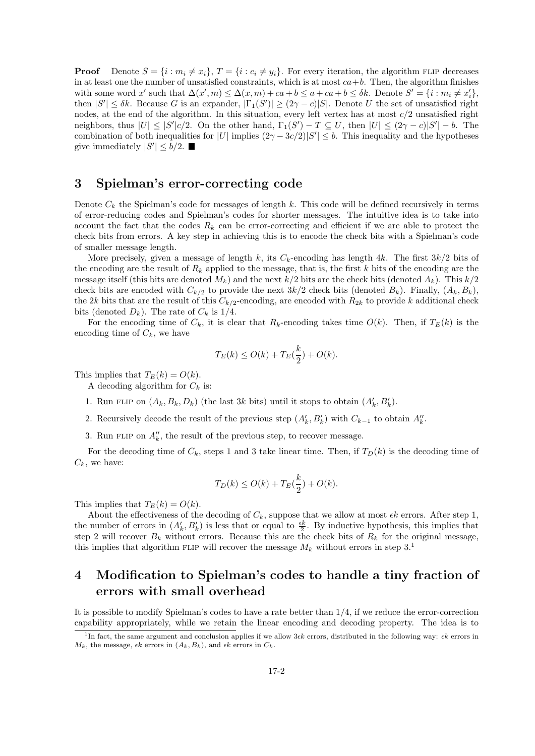**Proof** Denote  $S = \{i : m_i \neq x_i\}, T = \{i : c_i \neq y_i\}.$  For every iteration, the algorithm FLIP decreases in at least one the number of unsatisfied constraints, which is at most  $ca + b$ . Then, the algorithm finishes with some word x' such that  $\Delta(x', m) \leq \Delta(x, m) + ca + b \leq a + ca + b \leq \delta k$ . Denote  $S' = \{i : m_i \neq x'_i\}$ , then  $|S'| \leq \delta k$ . Because G is an expander,  $|\Gamma_1(S')| \geq (2\gamma - c)|S|$ . Denote U the set of unsatisfied right nodes, at the end of the algorithm. In this situation, every left vertex has at most  $c/2$  unsatisfied right neighbors, thus  $|U| \leq |S'|c/2$ . On the other hand,  $\Gamma_1(S') - T \subseteq U$ , then  $|U| \leq (2\gamma - c)|S'| - b$ . The combination of both inequalities for |U| implies  $(2\gamma - 3c/2)|S'| \leq b$ . This inequality and the hypotheses give immediately  $|S'| \leq b/2$ .

# 3 Spielman's error-correcting code

Denote  $C_k$  the Spielman's code for messages of length k. This code will be defined recursively in terms of error-reducing codes and Spielman's codes for shorter messages. The intuitive idea is to take into account the fact that the codes  $R_k$  can be error-correcting and efficient if we are able to protect the check bits from errors. A key step in achieving this is to encode the check bits with a Spielman's code of smaller message length.

More precisely, given a message of length k, its  $C_k$ -encoding has length 4k. The first  $3k/2$  bits of the encoding are the result of  $R_k$  applied to the message, that is, the first k bits of the encoding are the message itself (this bits are denoted  $M_k$ ) and the next  $k/2$  bits are the check bits (denoted  $A_k$ ). This  $k/2$ check bits are encoded with  $C_{k/2}$  to provide the next  $3k/2$  check bits (denoted  $B_k$ ). Finally,  $(A_k, B_k)$ , the 2k bits that are the result of this  $C_{k/2}$ -encoding, are encoded with  $R_{2k}$  to provide k additional check bits (denoted  $D_k$ ). The rate of  $C_k$  is  $1/4$ .

For the encoding time of  $C_k$ , it is clear that  $R_k$ -encoding takes time  $O(k)$ . Then, if  $T_E(k)$  is the encoding time of  $C_k$ , we have

$$
T_E(k) \le O(k) + T_E(\frac{k}{2}) + O(k).
$$

This implies that  $T_E(k) = O(k)$ .

A decoding algorithm for  $C_k$  is:

- 1. Run FLIP on  $(A_k, B_k, D_k)$  (the last 3k bits) until it stops to obtain  $(A'_k, B'_k)$ .
- 2. Recursively decode the result of the previous step  $(A'_k, B'_k)$  with  $C_{k-1}$  to obtain  $A''_k$ .
- 3. Run FLIP on  $A_k''$ , the result of the previous step, to recover message.

For the decoding time of  $C_k$ , steps 1 and 3 take linear time. Then, if  $T_D(k)$  is the decoding time of  $C_k$ , we have:

$$
T_D(k) \le O(k) + T_E(\frac{k}{2}) + O(k).
$$

This implies that  $T_E(k) = O(k)$ .

About the effectiveness of the decoding of  $C_k$ , suppose that we allow at most  $\epsilon k$  errors. After step 1, the number of errors in  $(A'_k, B'_k)$  is less that or equal to  $\frac{\epsilon k}{2}$ . By inductive hypothesis, this implies that step 2 will recover  $B_k$  without errors. Because this are the check bits of  $R_k$  for the original message, this implies that algorithm FLIP will recover the message  $M_k$  without errors in step 3.<sup>1</sup>

# 4 Modification to Spielman's codes to handle a tiny fraction of errors with small overhead

It is possible to modify Spielman's codes to have a rate better than  $1/4$ , if we reduce the error-correction capability appropriately, while we retain the linear encoding and decoding property. The idea is to

<sup>&</sup>lt;sup>1</sup>In fact, the same argument and conclusion applies if we allow 3*ck* errors, distributed in the following way:  $\epsilon k$  errors in  $M_k$ , the message,  $\epsilon k$  errors in  $(A_k, B_k)$ , and  $\epsilon k$  errors in  $C_k$ .